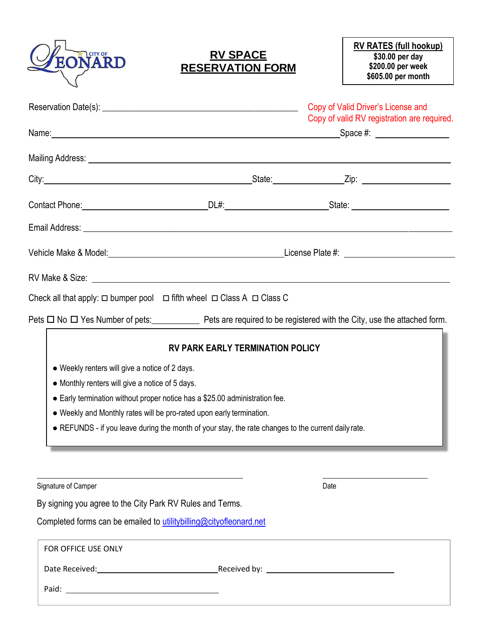

## **RV SPACE RESERVATION FORM**

|                                                                                                     |                                         | Copy of Valid Driver's License and<br>Copy of valid RV registration are required.                                  |  |  |
|-----------------------------------------------------------------------------------------------------|-----------------------------------------|--------------------------------------------------------------------------------------------------------------------|--|--|
|                                                                                                     |                                         |                                                                                                                    |  |  |
|                                                                                                     |                                         |                                                                                                                    |  |  |
|                                                                                                     |                                         |                                                                                                                    |  |  |
|                                                                                                     |                                         |                                                                                                                    |  |  |
|                                                                                                     |                                         | Vehicle Make & Model: Notice and Contract the Contract of License Plate #: Network and Contract the Contract of    |  |  |
|                                                                                                     |                                         |                                                                                                                    |  |  |
| Check all that apply: $\Box$ bumper pool $\Box$ fifth wheel $\Box$ Class A $\Box$ Class C           |                                         |                                                                                                                    |  |  |
|                                                                                                     |                                         | Pets $\Box$ No $\Box$ Yes Number of pets: Pets are required to be registered with the City, use the attached form. |  |  |
|                                                                                                     | <b>RV PARK EARLY TERMINATION POLICY</b> |                                                                                                                    |  |  |
| • Weekly renters will give a notice of 2 days.                                                      |                                         |                                                                                                                    |  |  |
| • Monthly renters will give a notice of 5 days.                                                     |                                         |                                                                                                                    |  |  |
| • Early termination without proper notice has a \$25.00 administration fee.                         |                                         |                                                                                                                    |  |  |
| • Weekly and Monthly rates will be pro-rated upon early termination.                                |                                         |                                                                                                                    |  |  |
| • REFUNDS - if you leave during the month of your stay, the rate changes to the current daily rate. |                                         |                                                                                                                    |  |  |
|                                                                                                     |                                         |                                                                                                                    |  |  |
|                                                                                                     |                                         |                                                                                                                    |  |  |
|                                                                                                     |                                         |                                                                                                                    |  |  |

Signature of Camper Date Compared to the Compact of Camper Date Date Date

By signing you agree to the City Park RV Rules and Terms.

Completed forms can be emailed to utilitybilling@cityofleonard.net

| FOR OFFICE USE ONLY |                                                                                                                                                                                                                                |
|---------------------|--------------------------------------------------------------------------------------------------------------------------------------------------------------------------------------------------------------------------------|
| Date Received:      | Received by: The contract of the contract of the contract of the contract of the contract of the contract of the contract of the contract of the contract of the contract of the contract of the contract of the contract of t |
| Paid:               |                                                                                                                                                                                                                                |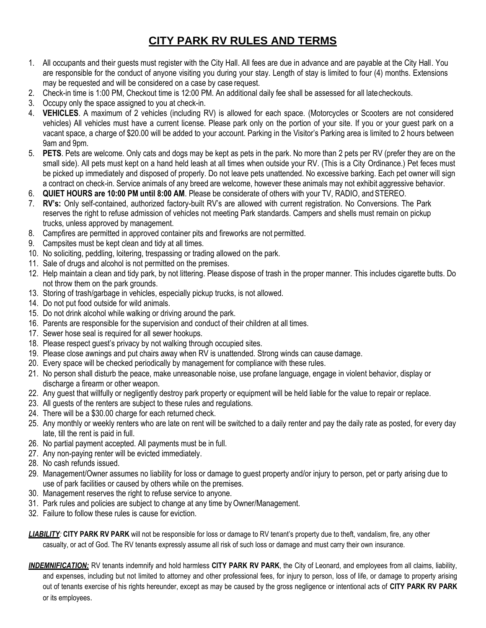## **CITY PARK RV RULES AND TERMS**

- 1. All occupants and their guests must register with the City Hall. All fees are due in advance and are payable at the City Hall. You are responsible for the conduct of anyone visiting you during your stay. Length of stay is limited to four (4) months. Extensions may be requested and will be considered on a case by case request.
- 2. Check-in time is 1:00 PM, Checkout time is 12:00 PM. An additional daily fee shall be assessed for all latecheckouts.
- 3. Occupy only the space assigned to you at check-in.
- 4. **VEHICLES**. A maximum of 2 vehicles (including RV) is allowed for each space. (Motorcycles or Scooters are not considered vehicles) All vehicles must have a current license. Please park only on the portion of your site. If you or your guest park on a vacant space, a charge of \$20.00 will be added to your account. Parking in the Visitor's Parking area is limited to 2 hours between 9am and 9pm.
- 5. **PETS**. Pets are welcome. Only cats and dogs may be kept as pets in the park. No more than 2 pets per RV (prefer they are on the small side). All pets must kept on a hand held leash at all times when outside your RV. (This is a City Ordinance.) Pet feces must be picked up immediately and disposed of properly. Do not leave pets unattended. No excessive barking. Each pet owner will sign a contract on check-in. Service animals of any breed are welcome, however these animals may not exhibit aggressive behavior.
- 6. **QUIET HOURS are 10:00 PM until 8:00 AM**. Please be considerate of others with your TV, RADIO, and STEREO.
- 7. **RV's:** Only self-contained, authorized factory-built RV's are allowed with current registration. No Conversions. The Park reserves the right to refuse admission of vehicles not meeting Park standards. Campers and shells must remain on pickup trucks, unless approved by management.
- 8. Campfires are permitted in approved container pits and fireworks are not permitted.
- 9. Campsites must be kept clean and tidy at all times.
- 10. No soliciting, peddling, loitering, trespassing or trading allowed on the park.
- 11. Sale of drugs and alcohol is not permitted on the premises.
- 12. Help maintain a clean and tidy park, by not littering. Please dispose of trash in the proper manner. This includes cigarette butts. Do not throw them on the park grounds.
- 13. Storing of trash/garbage in vehicles, especially pickup trucks, is not allowed.
- 14. Do not put food outside for wild animals.
- 15. Do not drink alcohol while walking or driving around the park.
- 16. Parents are responsible for the supervision and conduct of their children at all times.
- 17. Sewer hose seal is required for all sewer hookups.
- 18. Please respect guest's privacy by not walking through occupied sites.
- 19. Please close awnings and put chairs away when RV is unattended. Strong winds can cause damage.
- 20. Every space will be checked periodically by management for compliance with these rules.
- 21. No person shall disturb the peace, make unreasonable noise, use profane language, engage in violent behavior, display or discharge a firearm or other weapon.
- 22. Any guest that willfully or negligently destroy park property or equipment will be held liable for the value to repair or replace.
- 23. All guests of the renters are subject to these rules and regulations.
- 24. There will be a \$30.00 charge for each returned check.
- 25. Any monthly or weekly renters who are late on rent will be switched to a daily renter and pay the daily rate as posted, for every day late, till the rent is paid in full.
- 26. No partial payment accepted. All payments must be in full.
- 27. Any non-paying renter will be evicted immediately.
- 28. No cash refunds issued.
- 29. Management/Owner assumes no liability for loss or damage to guest property and/or injury to person, pet or party arising due to use of park facilities or caused by others while on the premises.
- 30. Management reserves the right to refuse service to anyone.
- 31. Park rules and policies are subject to change at any time by Owner/Management.
- 32. Failure to follow these rules is cause for eviction.
- *LIABILITY:* **CITY PARK RV PARK** will not be responsible for loss or damage to RV tenant's property due to theft, vandalism, fire, any other casualty, or act of God. The RV tenants expressly assume all risk of such loss or damage and must carry their own insurance.
- *INDEMNIFICATION:* RV tenants indemnify and hold harmless **CITY PARK RV PARK**, the City of Leonard, and employees from all claims, liability, and expenses, including but not limited to attorney and other professional fees, for injury to person, loss of life, or damage to property arising out of tenants exercise of his rights hereunder, except as may be caused by the gross negligence or intentional acts of **CITY PARK RV PARK**  or its employees.